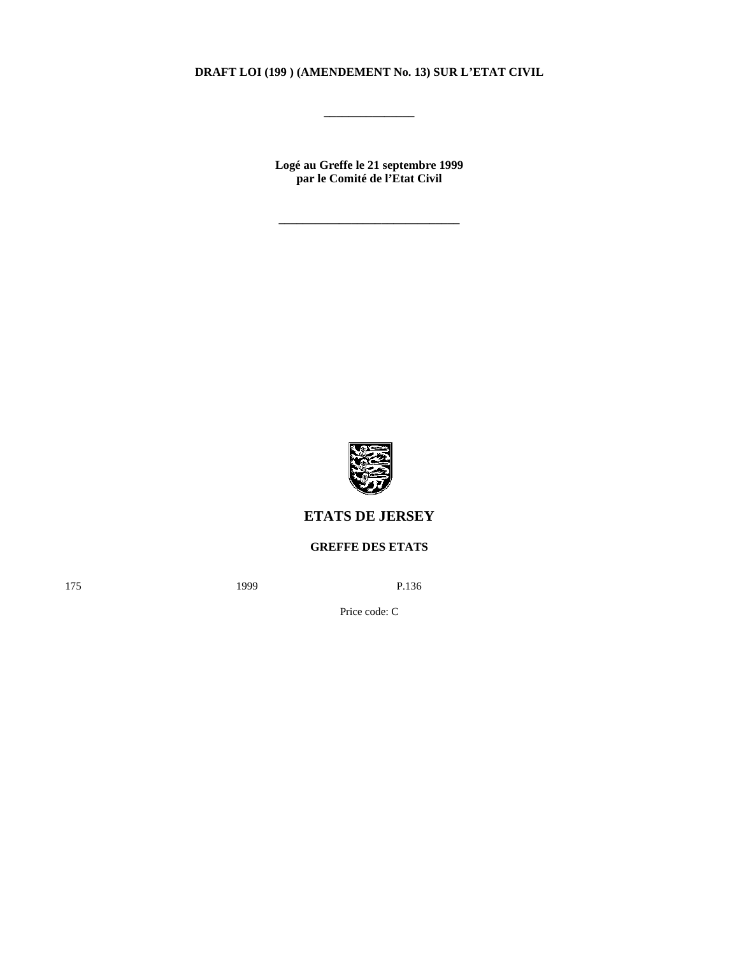## **DRAFT LOI (199 ) (AMENDEMENT No. 13) SUR L'ETAT CIVIL**

**\_\_\_\_\_\_\_\_\_\_\_\_\_\_\_**

**Logé au Greffe le 21 septembre 1999 par le Comité de l'Etat Civil**

**\_\_\_\_\_\_\_\_\_\_\_\_\_\_\_\_\_\_\_\_\_\_\_\_\_\_\_\_\_\_**



# **ETATS DE JERSEY**

## **GREFFE DES ETATS**

175 **1999** P.136

Price code: C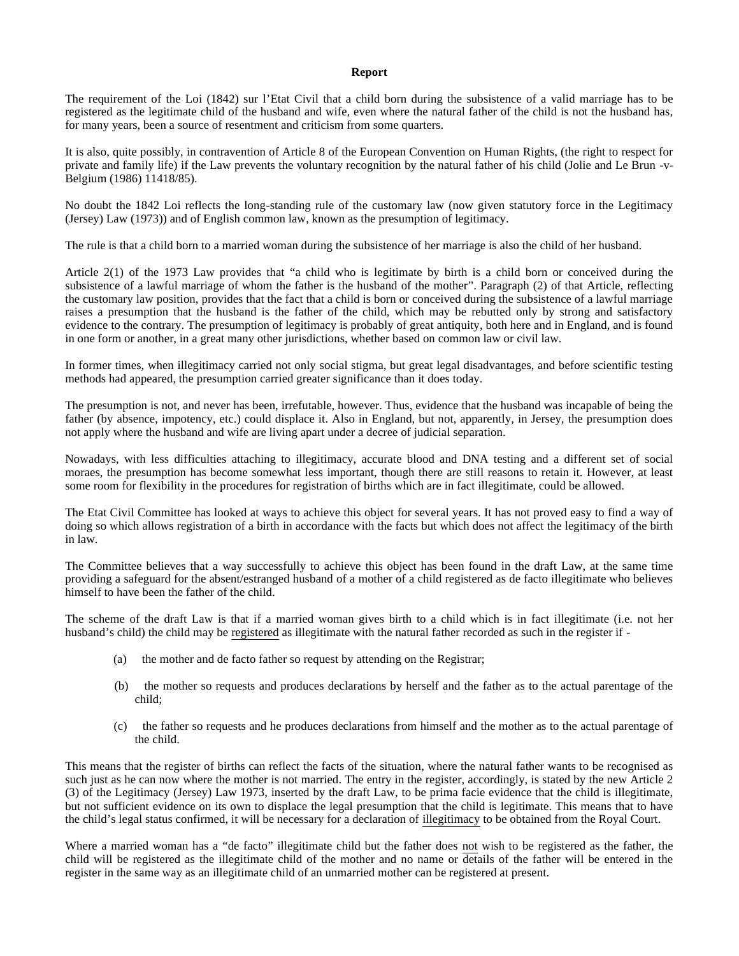#### **Report**

The requirement of the Loi (1842) sur l'Etat Civil that a child born during the subsistence of a valid marriage has to be registered as the legitimate child of the husband and wife, even where the natural father of the child is not the husband has, for many years, been a source of resentment and criticism from some quarters.

It is also, quite possibly, in contravention of Article 8 of the European Convention on Human Rights, (the right to respect for private and family life) if the Law prevents the voluntary recognition by the natural father of his child (Jolie and Le Brun -v-Belgium (1986) 11418/85).

No doubt the 1842 Loi reflects the long-standing rule of the customary law (now given statutory force in the Legitimacy (Jersey) Law (1973)) and of English common law, known as the presumption of legitimacy.

The rule is that a child born to a married woman during the subsistence of her marriage is also the child of her husband.

Article 2(1) of the 1973 Law provides that "a child who is legitimate by birth is a child born or conceived during the subsistence of a lawful marriage of whom the father is the husband of the mother". Paragraph (2) of that Article, reflecting the customary law position, provides that the fact that a child is born or conceived during the subsistence of a lawful marriage raises a presumption that the husband is the father of the child, which may be rebutted only by strong and satisfactory evidence to the contrary. The presumption of legitimacy is probably of great antiquity, both here and in England, and is found in one form or another, in a great many other jurisdictions, whether based on common law or civil law.

In former times, when illegitimacy carried not only social stigma, but great legal disadvantages, and before scientific testing methods had appeared, the presumption carried greater significance than it does today.

The presumption is not, and never has been, irrefutable, however. Thus, evidence that the husband was incapable of being the father (by absence, impotency, etc.) could displace it. Also in England, but not, apparently, in Jersey, the presumption does not apply where the husband and wife are living apart under a decree of judicial separation.

Nowadays, with less difficulties attaching to illegitimacy, accurate blood and DNA testing and a different set of social moraes, the presumption has become somewhat less important, though there are still reasons to retain it. However, at least some room for flexibility in the procedures for registration of births which are in fact illegitimate, could be allowed.

The Etat Civil Committee has looked at ways to achieve this object for several years. It has not proved easy to find a way of doing so which allows registration of a birth in accordance with the facts but which does not affect the legitimacy of the birth in law.

The Committee believes that a way successfully to achieve this object has been found in the draft Law, at the same time providing a safeguard for the absent/estranged husband of a mother of a child registered as de facto illegitimate who believes himself to have been the father of the child.

The scheme of the draft Law is that if a married woman gives birth to a child which is in fact illegitimate (i.e. not her husband's child) the child may be registered as illegitimate with the natural father recorded as such in the register if -

- (a) the mother and de facto father so request by attending on the Registrar;
- (b) the mother so requests and produces declarations by herself and the father as to the actual parentage of the child;
- (c) the father so requests and he produces declarations from himself and the mother as to the actual parentage of the child.

This means that the register of births can reflect the facts of the situation, where the natural father wants to be recognised as such just as he can now where the mother is not married. The entry in the register, accordingly, is stated by the new Article 2 (3) of the Legitimacy (Jersey) Law 1973, inserted by the draft Law, to be prima facie evidence that the child is illegitimate, but not sufficient evidence on its own to displace the legal presumption that the child is legitimate. This means that to have the child's legal status confirmed, it will be necessary for a declaration of illegitimacy to be obtained from the Royal Court.

Where a married woman has a "de facto" illegitimate child but the father does not wish to be registered as the father, the child will be registered as the illegitimate child of the mother and no name or details of the father will be entered in the register in the same way as an illegitimate child of an unmarried mother can be registered at present.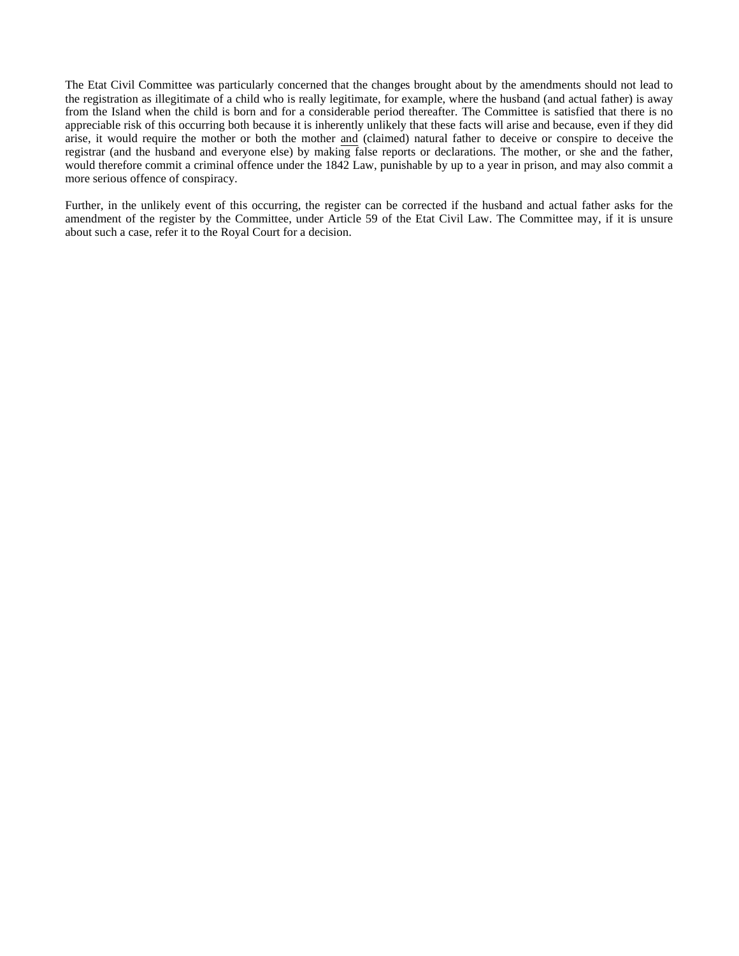The Etat Civil Committee was particularly concerned that the changes brought about by the amendments should not lead to the registration as illegitimate of a child who is really legitimate, for example, where the husband (and actual father) is away from the Island when the child is born and for a considerable period thereafter. The Committee is satisfied that there is no appreciable risk of this occurring both because it is inherently unlikely that these facts will arise and because, even if they did arise, it would require the mother or both the mother and (claimed) natural father to deceive or conspire to deceive the registrar (and the husband and everyone else) by making false reports or declarations. The mother, or she and the father, would therefore commit a criminal offence under the 1842 Law, punishable by up to a year in prison, and may also commit a more serious offence of conspiracy.

Further, in the unlikely event of this occurring, the register can be corrected if the husband and actual father asks for the amendment of the register by the Committee, under Article 59 of the Etat Civil Law. The Committee may, if it is unsure about such a case, refer it to the Royal Court for a decision.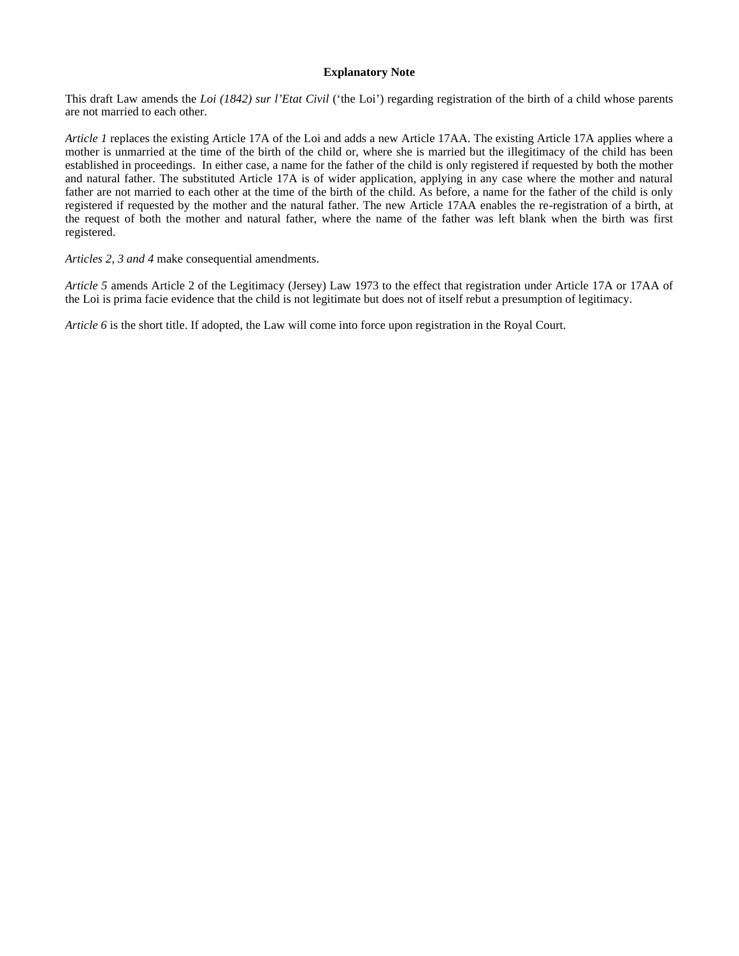#### **Explanatory Note**

This draft Law amends the *Loi (1842) sur l'Etat Civil* ('the Loi') regarding registration of the birth of a child whose parents are not married to each other.

*Article 1* replaces the existing Article 17A of the Loi and adds a new Article 17AA. The existing Article 17A applies where a mother is unmarried at the time of the birth of the child or, where she is married but the illegitimacy of the child has been established in proceedings. In either case, a name for the father of the child is only registered if requested by both the mother and natural father. The substituted Article 17A is of wider application, applying in any case where the mother and natural father are not married to each other at the time of the birth of the child. As before, a name for the father of the child is only registered if requested by the mother and the natural father. The new Article 17AA enables the re-registration of a birth, at the request of both the mother and natural father, where the name of the father was left blank when the birth was first registered.

*Articles 2, 3 and 4* make consequential amendments.

*Article 5* amends Article 2 of the Legitimacy (Jersey) Law 1973 to the effect that registration under Article 17A or 17AA of the Loi is prima facie evidence that the child is not legitimate but does not of itself rebut a presumption of legitimacy.

*Article 6* is the short title. If adopted, the Law will come into force upon registration in the Royal Court.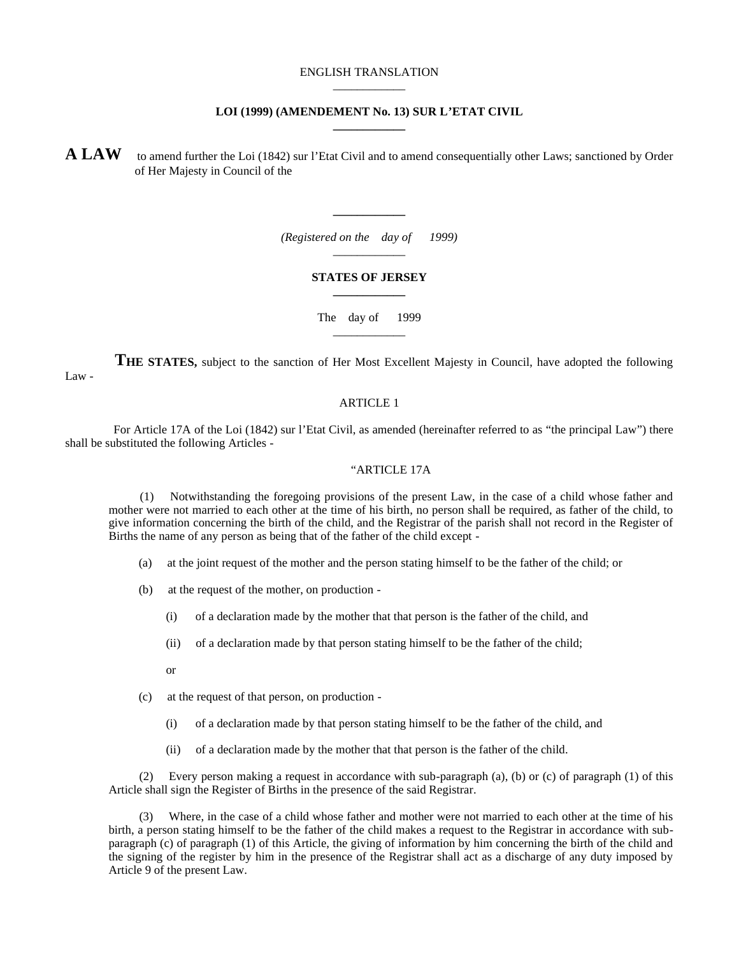#### ENGLISH TRANSLATION \_\_\_\_\_\_\_\_\_\_\_\_

#### **LOI (1999) (AMENDEMENT No. 13) SUR L'ETAT CIVIL \_\_\_\_\_\_\_\_\_\_\_\_**

**A LAW** to amend further the Loi (1842) sur l'Etat Civil and to amend consequentially other Laws; sanctioned by Order of Her Majesty in Council of the

> *(Registered on the day of 1999)* \_\_\_\_\_\_\_\_\_\_\_\_

**\_\_\_\_\_\_\_\_\_\_\_\_**

#### **STATES OF JERSEY \_\_\_\_\_\_\_\_\_\_\_\_**

The day of 1999 \_\_\_\_\_\_\_\_\_\_\_\_

 **THE STATES,** subject to the sanction of Her Most Excellent Majesty in Council, have adopted the following Law -

#### ARTICLE 1

 For Article 17A of the Loi (1842) sur l'Etat Civil, as amended (hereinafter referred to as "the principal Law") there shall be substituted the following Articles -

#### "ARTICLE 17A

 (1) Notwithstanding the foregoing provisions of the present Law, in the case of a child whose father and mother were not married to each other at the time of his birth, no person shall be required, as father of the child, to give information concerning the birth of the child, and the Registrar of the parish shall not record in the Register of Births the name of any person as being that of the father of the child except -

- (a) at the joint request of the mother and the person stating himself to be the father of the child; or
- (b) at the request of the mother, on production
	- (i) of a declaration made by the mother that that person is the father of the child, and
	- (ii) of a declaration made by that person stating himself to be the father of the child;
	- or
- (c) at the request of that person, on production
	- (i) of a declaration made by that person stating himself to be the father of the child, and
	- (ii) of a declaration made by the mother that that person is the father of the child.

 (2) Every person making a request in accordance with sub-paragraph (a), (b) or (c) of paragraph (1) of this Article shall sign the Register of Births in the presence of the said Registrar.

 (3) Where, in the case of a child whose father and mother were not married to each other at the time of his birth, a person stating himself to be the father of the child makes a request to the Registrar in accordance with subparagraph (c) of paragraph (1) of this Article, the giving of information by him concerning the birth of the child and the signing of the register by him in the presence of the Registrar shall act as a discharge of any duty imposed by Article 9 of the present Law.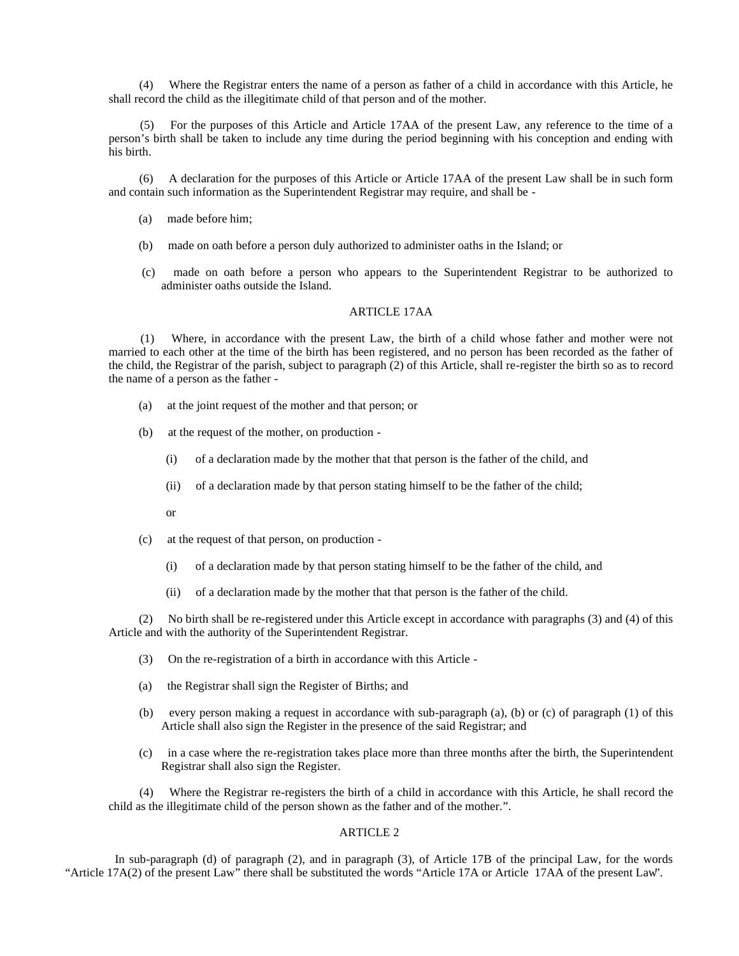(4) Where the Registrar enters the name of a person as father of a child in accordance with this Article, he shall record the child as the illegitimate child of that person and of the mother.

 (5) For the purposes of this Article and Article 17AA of the present Law, any reference to the time of a person's birth shall be taken to include any time during the period beginning with his conception and ending with his birth.

 (6) A declaration for the purposes of this Article or Article 17AA of the present Law shall be in such form and contain such information as the Superintendent Registrar may require, and shall be -

- (a) made before him;
- (b) made on oath before a person duly authorized to administer oaths in the Island; or
- (c) made on oath before a person who appears to the Superintendent Registrar to be authorized to administer oaths outside the Island.

## ARTICLE 17AA

 (1) Where, in accordance with the present Law, the birth of a child whose father and mother were not married to each other at the time of the birth has been registered, and no person has been recorded as the father of the child, the Registrar of the parish, subject to paragraph (2) of this Article, shall re-register the birth so as to record the name of a person as the father -

- (a) at the joint request of the mother and that person; or
- (b) at the request of the mother, on production
	- (i) of a declaration made by the mother that that person is the father of the child, and
	- (ii) of a declaration made by that person stating himself to be the father of the child;
	- or
- (c) at the request of that person, on production
	- (i) of a declaration made by that person stating himself to be the father of the child, and
	- (ii) of a declaration made by the mother that that person is the father of the child.

 (2) No birth shall be re-registered under this Article except in accordance with paragraphs (3) and (4) of this Article and with the authority of the Superintendent Registrar.

- (3) On the re-registration of a birth in accordance with this Article -
- (a) the Registrar shall sign the Register of Births; and
- (b) every person making a request in accordance with sub-paragraph (a), (b) or (c) of paragraph (1) of this Article shall also sign the Register in the presence of the said Registrar; and
- (c) in a case where the re-registration takes place more than three months after the birth, the Superintendent Registrar shall also sign the Register.

 (4) Where the Registrar re-registers the birth of a child in accordance with this Article, he shall record the child as the illegitimate child of the person shown as the father and of the mother.".

#### ARTICLE 2

 In sub-paragraph (d) of paragraph (2), and in paragraph (3), of Article 17B of the principal Law, for the words "Article 17A(2) of the present Law" there shall be substituted the words "Article 17A or Article 17AA of the present Law".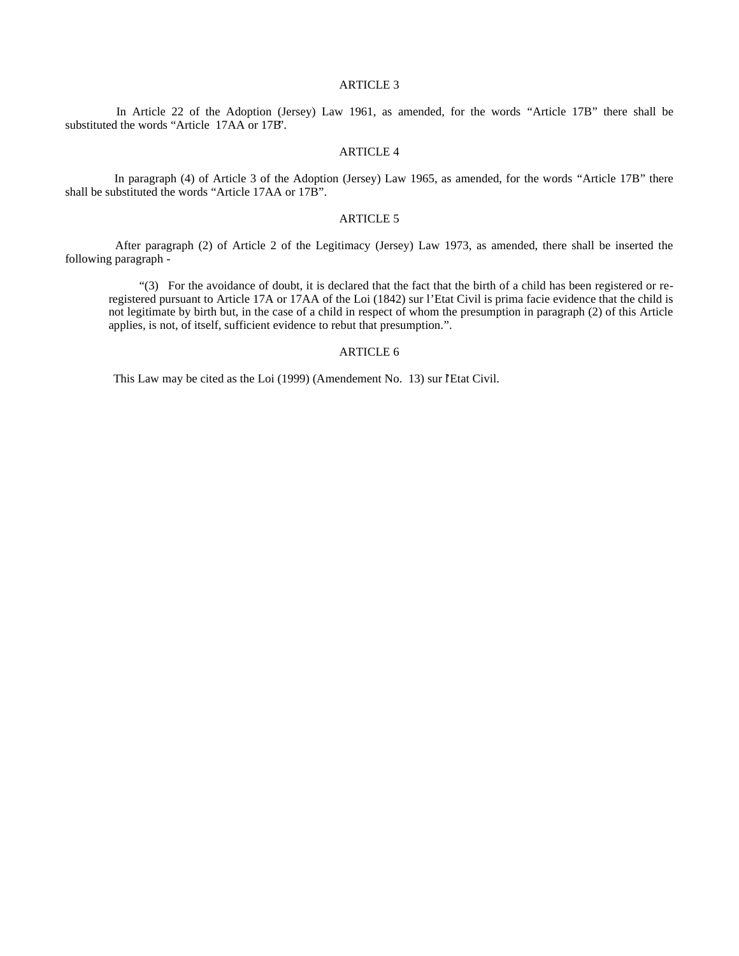#### ARTICLE 3

 In Article 22 of the Adoption (Jersey) Law 1961, as amended, for the words "Article 17B" there shall be substituted the words "Article 17AA or 17B".

#### ARTICLE 4

 In paragraph (4) of Article 3 of the Adoption (Jersey) Law 1965, as amended, for the words "Article 17B" there shall be substituted the words "Article 17AA or 17B".

#### ARTICLE 5

 After paragraph (2) of Article 2 of the Legitimacy (Jersey) Law 1973, as amended, there shall be inserted the following paragraph -

 "(3) For the avoidance of doubt, it is declared that the fact that the birth of a child has been registered or reregistered pursuant to Article 17A or 17AA of the Loi (1842) sur l'Etat Civil is prima facie evidence that the child is not legitimate by birth but, in the case of a child in respect of whom the presumption in paragraph (2) of this Article applies, is not, of itself, sufficient evidence to rebut that presumption.".

## ARTICLE 6

This Law may be cited as the Loi (1999) (Amendement No. 13) sur l'Etat Civil.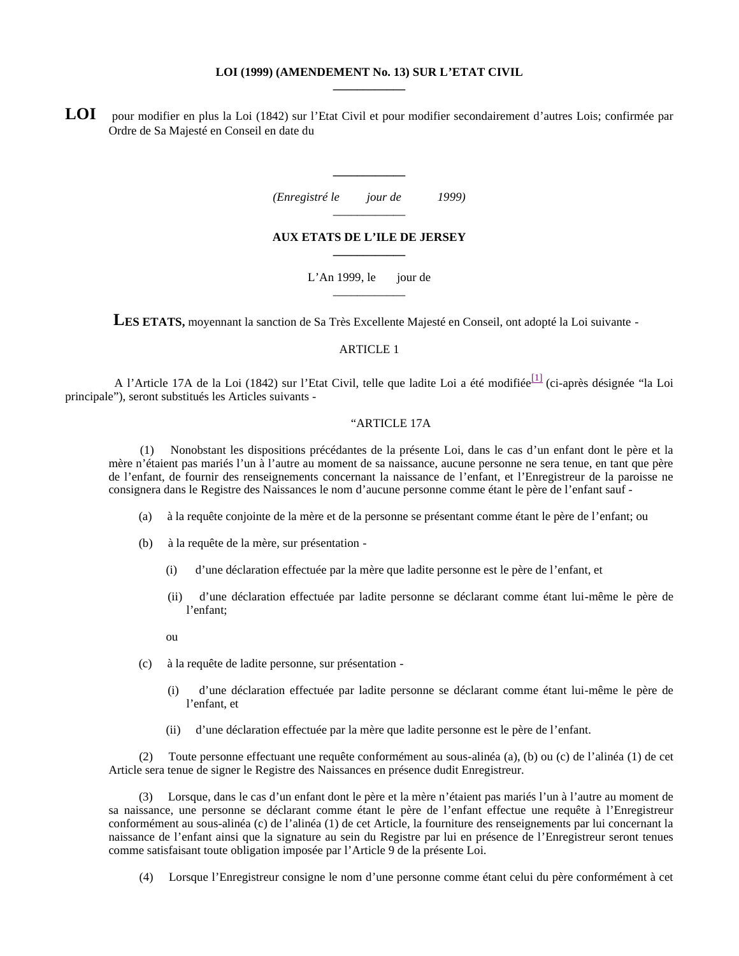#### **LOI (1999) (AMENDEMENT No. 13) SUR L'ETAT CIVIL \_\_\_\_\_\_\_\_\_\_\_\_**

LOI pour modifier en plus la Loi (1842) sur l'Etat Civil et pour modifier secondairement d'autres Lois; confirmée par Ordre de Sa Majesté en Conseil en date du

| (Enregistré le | jour de | 1999) |
|----------------|---------|-------|
|                |         |       |

**\_\_\_\_\_\_\_\_\_\_\_\_**

#### **AUX ETATS DE L'ILE DE JERSEY \_\_\_\_\_\_\_\_\_\_\_\_**

L'An 1999, le jour de \_\_\_\_\_\_\_\_\_\_\_\_

LES ETATS, moyennant la sanction de Sa Très Excellente Majesté en Conseil, ont adopté la Loi suivante -

#### ARTICLE 1

A l'Article 17A de la Loi (1842) sur l'Etat Civil, telle que ladite Loi a été modifiée<sup>[1]</sup> (ci-après désignée "la Loi principale"), seront substitués les Articles suivants -

#### "ARTICLE 17A

 (1) Nonobstant les dispositions précédantes de la présente Loi, dans le cas d'un enfant dont le père et la mère n'étaient pas mariés l'un à l'autre au moment de sa naissance, aucune personne ne sera tenue, en tant que père de l'enfant, de fournir des renseignements concernant la naissance de l'enfant, et l'Enregistreur de la paroisse ne consignera dans le Registre des Naissances le nom d'aucune personne comme étant le père de l'enfant sauf -

- (a) à la requête conjointe de la mère et de la personne se présentant comme étant le père de l'enfant; ou
- (b) à la requête de la mère, sur présentation
	- (i) d'une déclaration effectuée par la mère que ladite personne est le père de l'enfant, et
	- (ii) d'une déclaration effectuée par ladite personne se déclarant comme étant lui-même le père de l'enfant;

ou

- (c) à la requête de ladite personne, sur présentation
	- (i) d'une déclaration effectuée par ladite personne se déclarant comme étant lui-même le père de l'enfant, et
	- (ii) d'une déclaration effectuée par la mère que ladite personne est le père de l'enfant.

 (2) Toute personne effectuant une requête conformément au sous-alinéa (a), (b) ou (c) de l'alinéa (1) de cet Article sera tenue de signer le Registre des Naissances en présence dudit Enregistreur.

 (3) Lorsque, dans le cas d'un enfant dont le père et la mère n'étaient pas mariés l'un à l'autre au moment de sa naissance, une personne se déclarant comme étant le père de l'enfant effectue une requête à l'Enregistreur conformément au sous-alinéa (c) de l'alinéa (1) de cet Article, la fourniture des renseignements par lui concernant la naissance de l'enfant ainsi que la signature au sein du Registre par lui en présence de l'Enregistreur seront tenues comme satisfaisant toute obligation imposée par l'Article 9 de la présente Loi.

(4) Lorsque l'Enregistreur consigne le nom d'une personne comme étant celui du père conformément à cet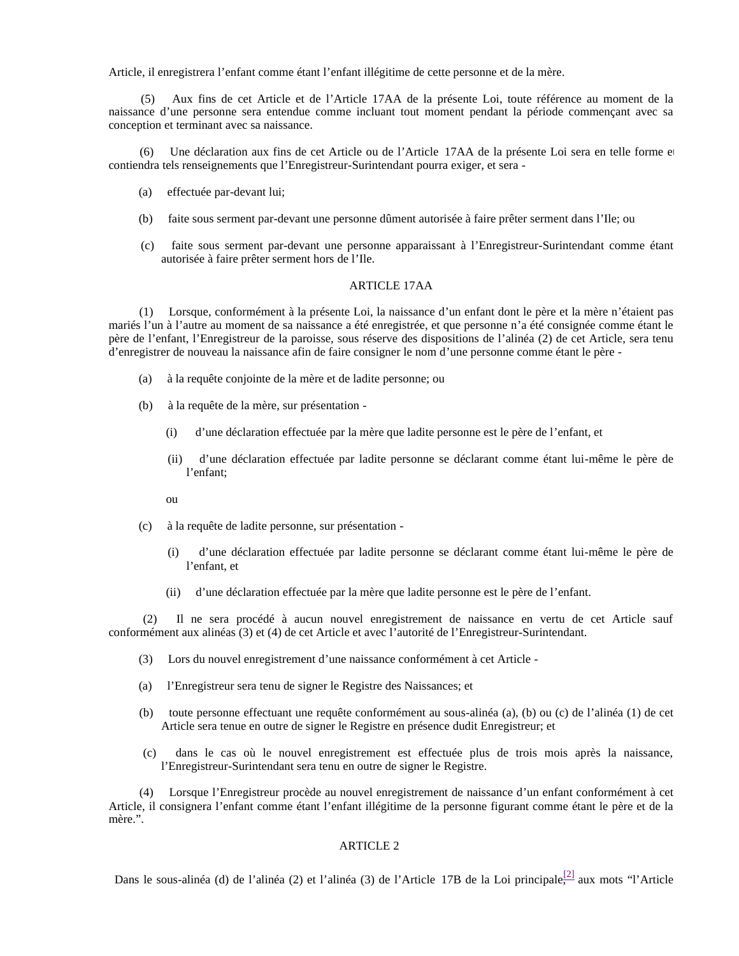Article, il enregistrera l'enfant comme étant l'enfant illégitime de cette personne et de la mère.

 (5) Aux fins de cet Article et de l'Article 17AA de la présente Loi, toute référence au moment de la naissance d'une personne sera entendue comme incluant tout moment pendant la période commençant avec sa conception et terminant avec sa naissance.

Une déclaration aux fins de cet Article ou de l'Article 17AA de la présente Loi sera en telle forme et contiendra tels renseignements que l'Enregistreur-Surintendant pourra exiger, et sera -

- (a) effectuée par-devant lui;
- (b) faite sous serment par-devant une personne dûment autorisée à faire prêter serment dans l'Ile; ou
- (c) faite sous serment par-devant une personne apparaissant à l'Enregistreur-Surintendant comme étant autorisée à faire prêter serment hors de l'Ile.

#### ARTICLE 17AA

 (1) Lorsque, conformément à la présente Loi, la naissance d'un enfant dont le père et la mère n'étaient pas mariés l'un à l'autre au moment de sa naissance a été enregistrée, et que personne n'a été consignée comme étant le père de l'enfant, l'Enregistreur de la paroisse, sous réserve des dispositions de l'alinéa (2) de cet Article, sera tenu d'enregistrer de nouveau la naissance afin de faire consigner le nom d'une personne comme étant le père -

- (a) à la requête conjointe de la mère et de ladite personne; ou
- (b) à la requête de la mère, sur présentation
	- (i) d'une déclaration effectuée par la mère que ladite personne est le père de l'enfant, et
	- (ii) d'une déclaration effectuée par ladite personne se déclarant comme étant lui-même le père de l'enfant;

ou

- (c) à la requête de ladite personne, sur présentation
	- (i) d'une déclaration effectuée par ladite personne se déclarant comme étant lui-même le père de l'enfant, et
	- (ii) d'une déclaration effectuée par la mère que ladite personne est le père de l'enfant.

 (2) Il ne sera procédé à aucun nouvel enregistrement de naissance en vertu de cet Article sauf conformément aux alinéas (3) et (4) de cet Article et avec l'autorité de l'Enregistreur-Surintendant.

- (3) Lors du nouvel enregistrement d'une naissance conformément à cet Article -
- (a) l'Enregistreur sera tenu de signer le Registre des Naissances; et
- (b) toute personne effectuant une requête conformément au sous-alinéa (a), (b) ou (c) de l'alinéa (1) de cet Article sera tenue en outre de signer le Registre en présence dudit Enregistreur; et
- (c) dans le cas où le nouvel enregistrement est effectuée plus de trois mois après la naissance, l'Enregistreur-Surintendant sera tenu en outre de signer le Registre.

 (4) Lorsque l'Enregistreur procède au nouvel enregistrement de naissance d'un enfant conformément à cet Article, il consignera l'enfant comme étant l'enfant illégitime de la personne figurant comme étant le père et de la mère.".

#### ARTICLE 2

Dans le sous-alinéa (d) de l'alinéa (2) et l'alinéa (3) de l'Article 17B de la Loi principale, aux mots "l'Article